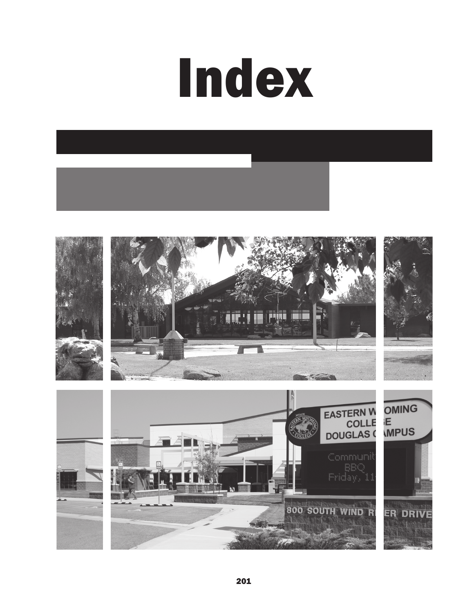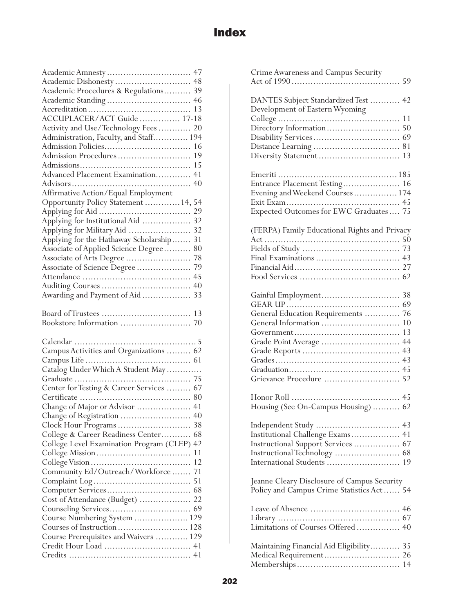|                                                             | 47 |
|-------------------------------------------------------------|----|
| Academic Dishonesty  48                                     |    |
| Academic Procedures & Regulations                           | 39 |
|                                                             | 46 |
|                                                             | 13 |
| ACCUPLACER/ACT Guide  17-18                                 |    |
| Activity and Use/Technology Fees                            | 20 |
| Administration, Faculty, and Staff 194                      |    |
|                                                             | 16 |
| Admission Procedures                                        | 19 |
|                                                             | 15 |
| Advanced Placement Examination                              | 41 |
|                                                             | 40 |
| Affirmative Action/Equal Employment                         |    |
| Opportunity Policy Statement  14,                           | 54 |
|                                                             | 29 |
| Applying for Institutional Aid                              | 32 |
| Applying for Military Aid                                   | 32 |
| Applying for the Hathaway Scholarship                       | 31 |
| Associate of Applied Science Degree                         | 80 |
| Associate of Arts Degree                                    | 78 |
| Associate of Science Degree                                 | 79 |
|                                                             | 45 |
|                                                             | 40 |
| Awarding and Payment of Aid                                 | 33 |
|                                                             |    |
|                                                             |    |
|                                                             | 13 |
|                                                             |    |
|                                                             |    |
|                                                             |    |
|                                                             |    |
| Campus Activities and Organizations  62                     | 61 |
|                                                             |    |
| Catalog Under Which A Student May                           |    |
|                                                             |    |
| Center for Testing & Career Services  67                    |    |
| Change of Major or Advisor                                  | 41 |
| Change of Registration  40                                  |    |
|                                                             |    |
| College & Career Readiness Center 68                        |    |
|                                                             |    |
| College Level Examination Program (CLEP) 42                 | 11 |
|                                                             |    |
| Community Ed/Outreach/Workforce 71                          |    |
|                                                             |    |
|                                                             |    |
| Cost of Attendance (Budget)  22                             |    |
|                                                             |    |
|                                                             |    |
| Course Numbering System  129<br>Courses of Instruction  128 |    |
| Course Prerequisites and Waivers  129                       |    |
|                                                             |    |

| Crime Awareness and Campus Security<br>59                                                                |
|----------------------------------------------------------------------------------------------------------|
| DANTES Subject Standardized Test  42<br>Development of Eastern Wyoming                                   |
| Diversity Statement<br>13                                                                                |
| Entrance Placement Testing 16<br>Evening and Weekend Courses 174                                         |
| (FERPA) Family Educational Rights and Privacy<br>50                                                      |
| General Education Requirements  76<br>10<br>13<br>44<br>Grade Point Average<br>Grievance Procedure<br>52 |
| Housing (See On-Campus Housing)  62                                                                      |
| Institutional Challenge Exams 41<br>Instructional Support Services  67<br>International Students<br>19   |
| Jeanne Cleary Disclosure of Campus Security<br>Policy and Campus Crime Statistics Act 54                 |
| Limitations of Courses Offered 40                                                                        |
| Maintaining Financial Aid Eligibility 35                                                                 |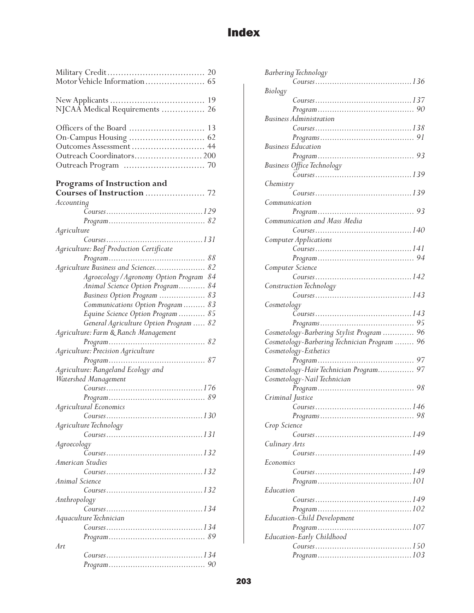| NJCAA Medical Requirements  26                       |
|------------------------------------------------------|
| Outcomes Assessment  44<br>Outreach Coordinators 200 |
| Programs of Instruction and                          |
| Accounting                                           |
|                                                      |
|                                                      |
| Agriculture                                          |
|                                                      |
| Agriculture: Beef Production Certificate             |
|                                                      |
| Agriculture Business and Sciences 82                 |
| 84<br>Agroecology/Agronomy Option Program            |
| Animal Science Option Program 84                     |
| Business Option Program  83                          |
| Communications Option Program  83                    |
| 85<br>Equine Science Option Program                  |
| General Agriculture Option Program<br>82             |
| Agriculture: Farm & Ranch Management                 |
|                                                      |
| Agriculture: Precision Agriculture                   |
| Program                                              |
| Agriculture: Rangeland Ecology and                   |
| Watershed Management                                 |
| Course. 176                                          |
|                                                      |
| Agricultural Economics                               |
| 130<br>Course                                        |
| Agriculture Technology                               |
|                                                      |
| Agroecology                                          |
|                                                      |
| American Studies                                     |
|                                                      |
| Animal Science                                       |
|                                                      |
| Anthropology                                         |
|                                                      |
| Aquaculture Technician                               |
|                                                      |
|                                                      |
| Art                                                  |
|                                                      |
|                                                      |

|                  | <b>Barbering Technology</b>                    |
|------------------|------------------------------------------------|
|                  |                                                |
| <b>Biology</b>   |                                                |
|                  |                                                |
|                  |                                                |
|                  | <b>Business Administration</b>                 |
|                  |                                                |
|                  |                                                |
|                  | <b>Business Education</b>                      |
|                  |                                                |
|                  |                                                |
|                  | Business Office Technology                     |
|                  |                                                |
| Chemistry        |                                                |
|                  |                                                |
| Communication    |                                                |
|                  |                                                |
|                  | Communication and Mass Media                   |
|                  |                                                |
|                  | Computer Applications                          |
|                  |                                                |
|                  |                                                |
| Computer Science |                                                |
|                  |                                                |
|                  | Construction Technology                        |
|                  |                                                |
|                  |                                                |
| Cosmetology      |                                                |
|                  |                                                |
|                  |                                                |
|                  |                                                |
|                  | Cosmetology-Barbering Stylist Program  96      |
|                  | Cosmetology-Barbering Technician Program<br>96 |
|                  | Cosmetology-Esthetics                          |
|                  |                                                |
|                  | 97<br>Cosmetology-Hair Technician Program      |
|                  | Cosmetology-Nail Technician                    |
|                  |                                                |
|                  |                                                |
| Criminal Justice |                                                |
|                  |                                                |
|                  |                                                |
| Crop Science     |                                                |
|                  | Course. 149                                    |
| Culinary Arts    |                                                |
|                  |                                                |
| Economics        |                                                |
|                  |                                                |
|                  |                                                |
| Education        |                                                |
|                  |                                                |
|                  |                                                |
|                  | <b>Education-Child Development</b>             |
|                  |                                                |
|                  | Education-Early Childhood                      |
|                  |                                                |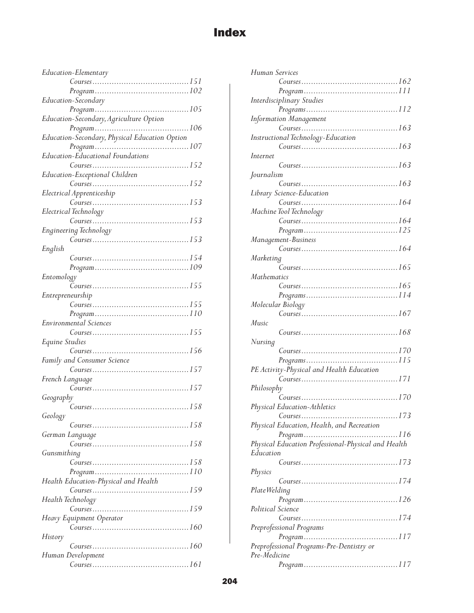| Education-Elementary                 |
|--------------------------------------|
|                                      |
| $Program \dots 102$                  |
| Education-Secondary                  |
|                                      |
|                                      |
|                                      |
|                                      |
|                                      |
| Education-Educational Foundations    |
|                                      |
| Education-Exceptional Children       |
|                                      |
| Electrical Apprenticeship            |
|                                      |
| Electrical Technology                |
|                                      |
|                                      |
|                                      |
| English                              |
|                                      |
|                                      |
| Entomology                           |
|                                      |
| Entrepreneurship                     |
|                                      |
|                                      |
|                                      |
| Environmental Sciences               |
|                                      |
| Equine Studies                       |
|                                      |
| Family and Consumer Science          |
|                                      |
| French Language                      |
|                                      |
| Geography                            |
|                                      |
| Geology                              |
|                                      |
| German Language                      |
|                                      |
| Gunsmithing                          |
|                                      |
|                                      |
| Health Education-Physical and Health |
| Course. 159                          |
| Health Technology                    |
|                                      |
| Heavy Equipment Operator             |
|                                      |
| History                              |
| Human Development                    |

|                    | Human Services                                      |
|--------------------|-----------------------------------------------------|
|                    |                                                     |
|                    |                                                     |
|                    | Interdisciplinary Studies                           |
|                    |                                                     |
|                    | Information Management                              |
|                    |                                                     |
|                    | Instructional Technology-Education                  |
|                    |                                                     |
| Internet           |                                                     |
|                    |                                                     |
| Journalism         |                                                     |
|                    |                                                     |
|                    | Library Science-Education                           |
|                    |                                                     |
|                    | Machine Tool Technology                             |
|                    |                                                     |
|                    |                                                     |
|                    |                                                     |
|                    | Management-Business                                 |
|                    |                                                     |
| Marketing          |                                                     |
|                    |                                                     |
| <b>Mathematics</b> |                                                     |
|                    |                                                     |
|                    |                                                     |
|                    | Molecular Biology                                   |
|                    |                                                     |
| Music              |                                                     |
|                    |                                                     |
| Nursing            |                                                     |
|                    |                                                     |
|                    |                                                     |
|                    |                                                     |
|                    |                                                     |
|                    | PE Activity-Physical and Health Education           |
|                    |                                                     |
| Philosophy         |                                                     |
|                    | Course. 170                                         |
|                    | Physical Education-Athletics                        |
|                    | $\ldots$ . 173<br>Course<br>.                       |
|                    | Physical Education, Health, and Recreation          |
|                    |                                                     |
|                    | Physical Education Professional-Physical and Health |
| Education          |                                                     |
|                    |                                                     |
| Physics            |                                                     |
|                    |                                                     |
| Plate Welding      |                                                     |
|                    |                                                     |
| Political Science  |                                                     |
|                    |                                                     |
|                    | Preprofessional Programs                            |
|                    |                                                     |
|                    | Preprofessional Programs-Pre-Dentistry or           |
| Pre-Medicine       |                                                     |
|                    |                                                     |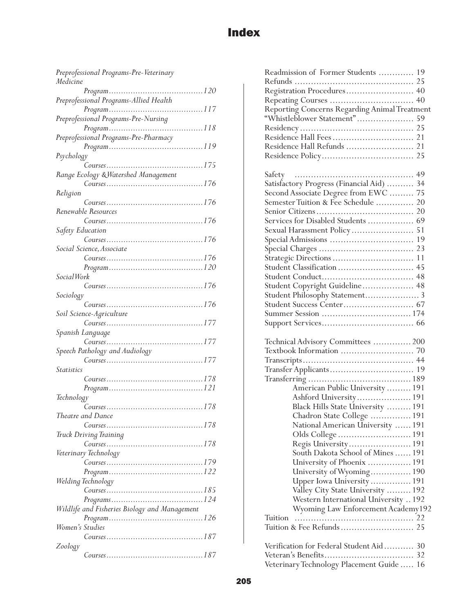| Preprofessional Programs-Pre-Veterinary       |
|-----------------------------------------------|
| Medicine                                      |
|                                               |
| Preprofessional Programs-Allied Health        |
|                                               |
| Preprofessional Programs-Pre-Nursing          |
|                                               |
| Preprofessional Programs-Pre-Pharmacy         |
|                                               |
| Psychology                                    |
|                                               |
| Range Ecology & Watershed Management          |
| Course. 176                                   |
| Religion                                      |
|                                               |
| Renewable Resources                           |
| Course. 176                                   |
| Safety Education                              |
|                                               |
|                                               |
| Social Science, Associate                     |
| Course. 176                                   |
|                                               |
| <i>SocialWork</i>                             |
| Course. 176                                   |
| Sociology                                     |
|                                               |
| Soil Science-Agriculture                      |
| Course. 177                                   |
| Spanish Language                              |
| Course. 177                                   |
| Speech Pathology and Audiology                |
| Course. 177                                   |
| <i><u>Statistics</u></i>                      |
| Course. 178                                   |
|                                               |
| Technology                                    |
|                                               |
| Theatre and Dance                             |
|                                               |
| Course. 178                                   |
| Truck Driving Training                        |
|                                               |
| Veterinary Technology                         |
|                                               |
|                                               |
| Welding Technology                            |
|                                               |
|                                               |
| Wildlife and Fisheries Biology and Management |
|                                               |
| Women's Studies                               |
| Course. 187                                   |
| Zoology                                       |
|                                               |
|                                               |

| Readmission of Former Students  19            |
|-----------------------------------------------|
|                                               |
| Registration Procedures 40                    |
|                                               |
| Reporting Concerns Regarding Animal Treatment |
| "Whistleblower Statement"<br>59               |
|                                               |
|                                               |
| Residence Hall Refunds  21                    |
|                                               |
|                                               |
|                                               |
| Satisfactory Progress (Financial Aid)  34     |
| Second Associate Degree from EWC  75          |
| Semester Tuition & Fee Schedule  20           |
|                                               |
| Services for Disabled Students  69            |
|                                               |
|                                               |
|                                               |
|                                               |
| Student Classification  45                    |
|                                               |
| Student Copyright Guideline 48                |
| Student Philosophy Statement 3                |
|                                               |
|                                               |
|                                               |
|                                               |
| Technical Advisory Committees  200            |
|                                               |
|                                               |
|                                               |
|                                               |
| American Public University  191               |
|                                               |
| Ashford University 191                        |
| Black Hills State University  191             |
| Chadron State College  191                    |
| National American University  191             |
| Olds College  191                             |
| Regis University 191                          |
| South Dakota School of Mines  191             |
| University of Phoenix  191                    |
| University of Wyoming 190                     |
| Upper Iowa University  191                    |
| Valley City State University  192             |
| Western International University  192         |
| Wyoming Law Enforcement Academy192            |
| Tuition                                       |
|                                               |
|                                               |
| Verification for Federal Student Aid 30       |
|                                               |

Veterinary Technology Placement Guide ..... 16